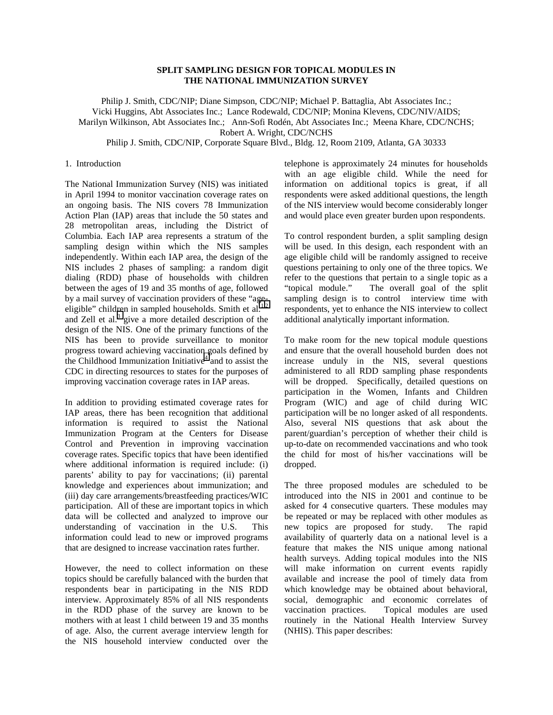# **SPLIT SAMPLING DESIGN FOR TOPICAL MODULES IN THE NATIONAL IMMUNIZATION SURVEY**

Philip J. Smith, CDC/NIP; Diane Simpson, CDC/NIP; Michael P. Battaglia, Abt Associates Inc.; Vicki Huggins, Abt Associates Inc.; Lance Rodewald, CDC/NIP; Monina Klevens, CDC/NIV/AIDS; Marilyn Wilkinson, Abt Associates Inc.; Ann-Sofi Rodén, Abt Associates Inc.; Meena Khare, CDC/NCHS; Robert A. Wright, CDC/NCHS

Philip J. Smith, CDC/NIP, Corporate Square Blvd., Bldg. 12, Room 2109, Atlanta, GA 30333

#### 1. Introduction

The National Immunization Survey (NIS) was initiated in April 1994 to monitor vaccination coverage rates on an ongoing basis. The NIS covers 78 Immunization Action Plan (IAP) areas that include the 50 states and 28 metropolitan areas, including the District of Columbia. Each IAP area represents a stratum of the sampling design within which the NIS samples independently. Within each IAP area, the design of the NIS includes 2 phases of sampling: a random digit dialing (RDD) phase of households with children between the ages of 19 and 35 months of age, followed by a mail survey of vaccination providers of these "ageeligible" children in sampled households. Smith et al. $1,2$ and Zell et al. $3$  give a more detailed description of the design of the NIS. One of the primary functions of the NIS has been to provide surveillance to monitor progress toward achieving vaccination goals defined by the Childhood Immunization Initiative<sup>[4](#page-5-0)</sup> and to assist the CDC in directing resources to states for the purposes of improving vaccination coverage rates in IAP areas.

In addition to providing estimated coverage rates for IAP areas, there has been recognition that additional information is required to assist the National Immunization Program at the Centers for Disease Control and Prevention in improving vaccination coverage rates. Specific topics that have been identified where additional information is required include: (i) parents' ability to pay for vaccinations; (ii) parental knowledge and experiences about immunization; and (iii) day care arrangements/breastfeeding practices/WIC participation. All of these are important topics in which data will be collected and analyzed to improve our understanding of vaccination in the U.S. This information could lead to new or improved programs that are designed to increase vaccination rates further.

However, the need to collect information on these topics should be carefully balanced with the burden that respondents bear in participating in the NIS RDD interview. Approximately 85% of all NIS respondents in the RDD phase of the survey are known to be mothers with at least 1 child between 19 and 35 months of age. Also, the current average interview length for the NIS household interview conducted over the

telephone is approximately 24 minutes for households with an age eligible child. While the need for information on additional topics is great, if all respondents were asked additional questions, the length of the NIS interview would become considerably longer and would place even greater burden upon respondents.

To control respondent burden, a split sampling design will be used. In this design, each respondent with an age eligible child will be randomly assigned to receive questions pertaining to only one of the three topics. We refer to the questions that pertain to a single topic as a "topical module." The overall goal of the split sampling design is to control interview time with respondents, yet to enhance the NIS interview to collect additional analytically important information.

To make room for the new topical module questions and ensure that the overall household burden does not increase unduly in the NIS, several questions administered to all RDD sampling phase respondents will be dropped. Specifically, detailed questions on participation in the Women, Infants and Children Program (WIC) and age of child during WIC participation will be no longer asked of all respondents. Also, several NIS questions that ask about the parent/guardian's perception of whether their child is up-to-date on recommended vaccinations and who took the child for most of his/her vaccinations will be dropped.

The three proposed modules are scheduled to be introduced into the NIS in 2001 and continue to be asked for 4 consecutive quarters. These modules may be repeated or may be replaced with other modules as new topics are proposed for study. The rapid availability of quarterly data on a national level is a feature that makes the NIS unique among national health surveys. Adding topical modules into the NIS will make information on current events rapidly available and increase the pool of timely data from which knowledge may be obtained about behavioral, social, demographic and economic correlates of vaccination practices. Topical modules are used routinely in the National Health Interview Survey (NHIS). This paper describes: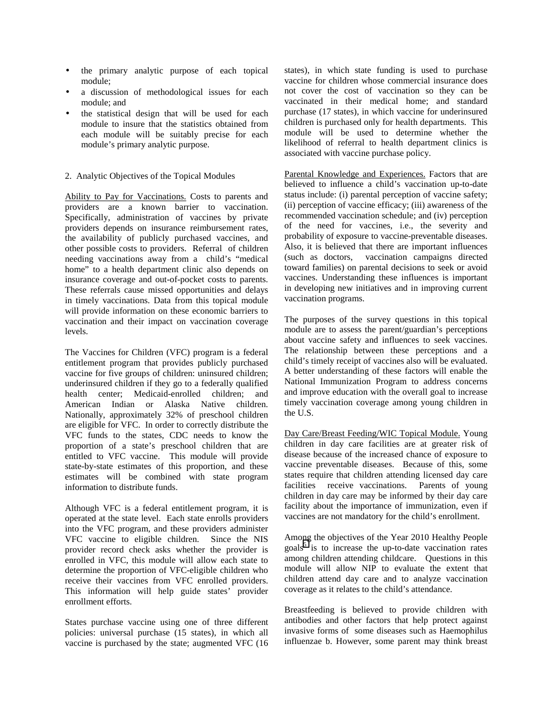- the primary analytic purpose of each topical module;
- a discussion of methodological issues for each module; and
- the statistical design that will be used for each module to insure that the statistics obtained from each module will be suitably precise for each module's primary analytic purpose.

### 2. Analytic Objectives of the Topical Modules

Ability to Pay for Vaccinations. Costs to parents and providers are a known barrier to vaccination. Specifically, administration of vaccines by private providers depends on insurance reimbursement rates, the availability of publicly purchased vaccines, and other possible costs to providers. Referral of children needing vaccinations away from a child's "medical home" to a health department clinic also depends on insurance coverage and out-of-pocket costs to parents. These referrals cause missed opportunities and delays in timely vaccinations. Data from this topical module will provide information on these economic barriers to vaccination and their impact on vaccination coverage levels.

The Vaccines for Children (VFC) program is a federal entitlement program that provides publicly purchased vaccine for five groups of children: uninsured children; underinsured children if they go to a federally qualified health center; Medicaid-enrolled children; and American Indian or Alaska Native children. Nationally, approximately 32% of preschool children are eligible for VFC. In order to correctly distribute the VFC funds to the states, CDC needs to know the proportion of a state's preschool children that are entitled to VFC vaccine. This module will provide state-by-state estimates of this proportion, and these estimates will be combined with state program information to distribute funds.

Although VFC is a federal entitlement program, it is operated at the state level. Each state enrolls providers into the VFC program, and these providers administer VFC vaccine to eligible children. Since the NIS provider record check asks whether the provider is enrolled in VFC, this module will allow each state to determine the proportion of VFC-eligible children who receive their vaccines from VFC enrolled providers. This information will help guide states' provider enrollment efforts.

States purchase vaccine using one of three different policies: universal purchase (15 states), in which all vaccine is purchased by the state; augmented VFC (16 states), in which state funding is used to purchase vaccine for children whose commercial insurance does not cover the cost of vaccination so they can be vaccinated in their medical home; and standard purchase (17 states), in which vaccine for underinsured children is purchased only for health departments. This module will be used to determine whether the likelihood of referral to health department clinics is associated with vaccine purchase policy.

Parental Knowledge and Experiences. Factors that are believed to influence a child's vaccination up-to-date status include: (i) parental perception of vaccine safety; (ii) perception of vaccine efficacy; (iii) awareness of the recommended vaccination schedule; and (iv) perception of the need for vaccines, i.e., the severity and probability of exposure to vaccine-preventable diseases. Also, it is believed that there are important influences (such as doctors, vaccination campaigns directed toward families) on parental decisions to seek or avoid vaccines. Understanding these influences is important in developing new initiatives and in improving current vaccination programs.

The purposes of the survey questions in this topical module are to assess the parent/guardian's perceptions about vaccine safety and influences to seek vaccines. The relationship between these perceptions and a child's timely receipt of vaccines also will be evaluated. A better understanding of these factors will enable the National Immunization Program to address concerns and improve education with the overall goal to increase timely vaccination coverage among young children in the U.S.

Day Care/Breast Feeding/WIC Topical Module. Young children in day care facilities are at greater risk of disease because of the increased chance of exposure to vaccine preventable diseases. Because of this, some states require that children attending licensed day care facilities receive vaccinations. Parents of young children in day care may be informed by their day care facility about the importance of immunization, even if vaccines are not mandatory for the child's enrollment.

Among the objectives of the Year 2010 Healthy People goals<sup>[5](#page-5-0)</sup> is to increase the up-to-date vaccination rates among children attending childcare. Questions in this module will allow NIP to evaluate the extent that children attend day care and to analyze vaccination coverage as it relates to the child's attendance.

Breastfeeding is believed to provide children with antibodies and other factors that help protect against invasive forms of some diseases such as Haemophilus influenzae b. However, some parent may think breast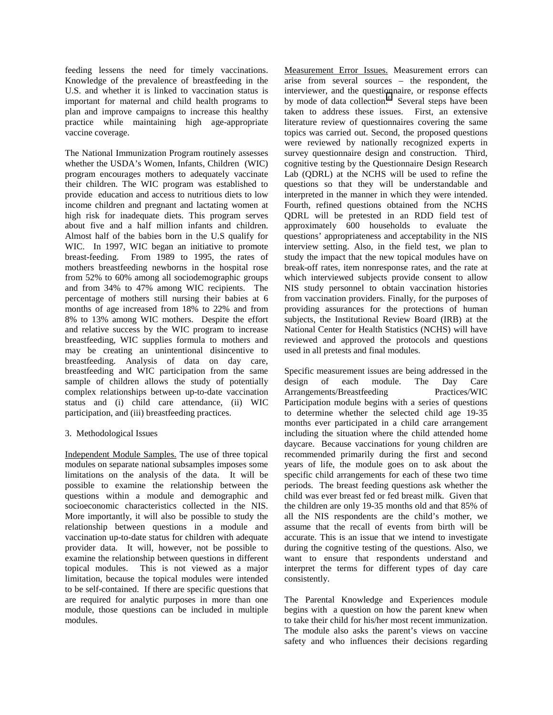feeding lessens the need for timely vaccinations. Knowledge of the prevalence of breastfeeding in the U.S. and whether it is linked to vaccination status is important for maternal and child health programs to plan and improve campaigns to increase this healthy practice while maintaining high age-appropriate vaccine coverage.

The National Immunization Program routinely assesses whether the USDA's Women, Infants, Children (WIC) program encourages mothers to adequately vaccinate their children. The WIC program was established to provide education and access to nutritious diets to low income children and pregnant and lactating women at high risk for inadequate diets. This program serves about five and a half million infants and children. Almost half of the babies born in the U.S qualify for WIC. In 1997, WIC began an initiative to promote breast-feeding. From 1989 to 1995, the rates of mothers breastfeeding newborns in the hospital rose from 52% to 60% among all sociodemographic groups and from 34% to 47% among WIC recipients. The percentage of mothers still nursing their babies at 6 months of age increased from 18% to 22% and from 8% to 13% among WIC mothers. Despite the effort and relative success by the WIC program to increase breastfeeding, WIC supplies formula to mothers and may be creating an unintentional disincentive to breastfeeding. Analysis of data on day care, breastfeeding and WIC participation from the same sample of children allows the study of potentially complex relationships between up-to-date vaccination status and (i) child care attendance, (ii) WIC participation, and (iii) breastfeeding practices.

### 3. Methodological Issues

Independent Module Samples. The use of three topical modules on separate national subsamples imposes some limitations on the analysis of the data. It will be possible to examine the relationship between the questions within a module and demographic and socioeconomic characteristics collected in the NIS. More importantly, it will also be possible to study the relationship between questions in a module and vaccination up-to-date status for children with adequate provider data. It will, however, not be possible to examine the relationship between questions in different topical modules. This is not viewed as a major limitation, because the topical modules were intended to be self-contained. If there are specific questions that are required for analytic purposes in more than one module, those questions can be included in multiple modules.

Measurement Error Issues. Measurement errors can arise from several sources – the respondent, the interviewer, and the questionnaire, or response effects by mode of data collection.<sup>6</sup> Several steps have been taken to address these issues. First, an extensive literature review of questionnaires covering the same topics was carried out. Second, the proposed questions were reviewed by nationally recognized experts in survey questionnaire design and construction. Third, cognitive testing by the Questionnaire Design Research Lab (QDRL) at the NCHS will be used to refine the questions so that they will be understandable and interpreted in the manner in which they were intended. Fourth, refined questions obtained from the NCHS QDRL will be pretested in an RDD field test of approximately 600 households to evaluate the questions' appropriateness and acceptability in the NIS interview setting. Also, in the field test, we plan to study the impact that the new topical modules have on break-off rates, item nonresponse rates, and the rate at which interviewed subjects provide consent to allow NIS study personnel to obtain vaccination histories from vaccination providers. Finally, for the purposes of providing assurances for the protections of human subjects, the Institutional Review Board (IRB) at the National Center for Health Statistics (NCHS) will have reviewed and approved the protocols and questions used in all pretests and final modules.

Specific measurement issues are being addressed in the design of each module. The Day Care Arrangements/Breastfeeding Practices/WIC Participation module begins with a series of questions to determine whether the selected child age 19-35 months ever participated in a child care arrangement including the situation where the child attended home daycare. Because vaccinations for young children are recommended primarily during the first and second years of life, the module goes on to ask about the specific child arrangements for each of these two time periods. The breast feeding questions ask whether the child was ever breast fed or fed breast milk. Given that the children are only 19-35 months old and that 85% of all the NIS respondents are the child's mother, we assume that the recall of events from birth will be accurate. This is an issue that we intend to investigate during the cognitive testing of the questions. Also, we want to ensure that respondents understand and interpret the terms for different types of day care consistently.

The Parental Knowledge and Experiences module begins with a question on how the parent knew when to take their child for his/her most recent immunization. The module also asks the parent's views on vaccine safety and who influences their decisions regarding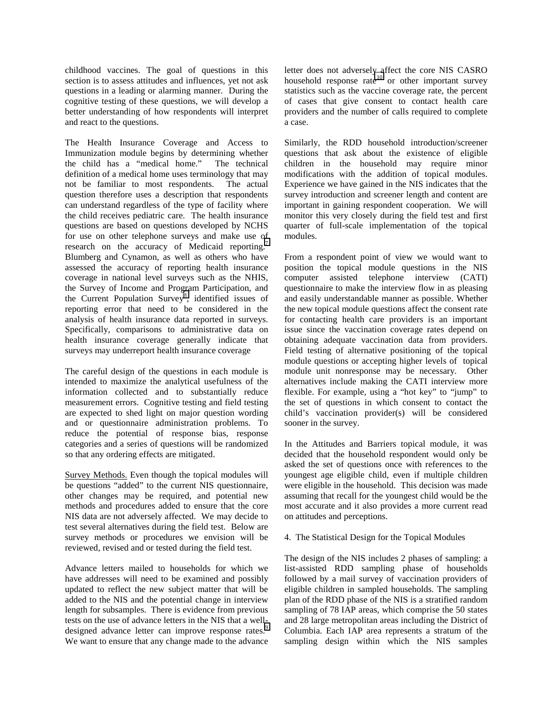childhood vaccines. The goal of questions in this section is to assess attitudes and influences, yet not ask questions in a leading or alarming manner. During the cognitive testing of these questions, we will develop a better understanding of how respondents will interpret and react to the questions.

The Health Insurance Coverage and Access to Immunization module begins by determining whether the child has a "medical home." The technical definition of a medical home uses terminology that may not be familiar to most respondents. The actual question therefore uses a description that respondents can understand regardless of the type of facility where the child receives pediatric care. The health insurance questions are based on questions developed by NCHS for use on other telephone surveys and make use of research on the accuracy of Medicaid reporting.<sup>7</sup> Blumberg and Cynamon, as well as others who have assessed the accuracy of reporting health insurance coverage in national level surveys such as the NHIS, the Survey of Income and Program Participation, and the Current Population Survey<sup>[8](#page-5-0)</sup>, identified issues of reporting error that need to be considered in the analysis of health insurance data reported in surveys. Specifically, comparisons to administrative data on health insurance coverage generally indicate that surveys may underreport health insurance coverage

The careful design of the questions in each module is intended to maximize the analytical usefulness of the information collected and to substantially reduce measurement errors. Cognitive testing and field testing are expected to shed light on major question wording and or questionnaire administration problems. To reduce the potential of response bias, response categories and a series of questions will be randomized so that any ordering effects are mitigated.

Survey Methods. Even though the topical modules will be questions "added" to the current NIS questionnaire, other changes may be required, and potential new methods and procedures added to ensure that the core NIS data are not adversely affected. We may decide to test several alternatives during the field test. Below are survey methods or procedures we envision will be reviewed, revised and or tested during the field test.

Advance letters mailed to households for which we have addresses will need to be examined and possibly updated to reflect the new subject matter that will be added to the NIS and the potential change in interview length for subsamples. There is evidence from previous tests on the use of advance letters in the NIS that a welldesigned advance letter can improve response rates.<sup>9</sup> We want to ensure that any change made to the advance

letter does not adversely affect the core NIS CASRO household response rate<sup>10</sup> or other important survey statistics such as the vaccine coverage rate, the percent of cases that give consent to contact health care providers and the number of calls required to complete a case.

Similarly, the RDD household introduction/screener questions that ask about the existence of eligible children in the household may require minor modifications with the addition of topical modules. Experience we have gained in the NIS indicates that the survey introduction and screener length and content are important in gaining respondent cooperation. We will monitor this very closely during the field test and first quarter of full-scale implementation of the topical modules.

From a respondent point of view we would want to position the topical module questions in the NIS computer assisted telephone interview (CATI) questionnaire to make the interview flow in as pleasing and easily understandable manner as possible. Whether the new topical module questions affect the consent rate for contacting health care providers is an important issue since the vaccination coverage rates depend on obtaining adequate vaccination data from providers. Field testing of alternative positioning of the topical module questions or accepting higher levels of topical module unit nonresponse may be necessary. Other alternatives include making the CATI interview more flexible. For example, using a "hot key" to "jump" to the set of questions in which consent to contact the child's vaccination provider(s) will be considered sooner in the survey.

In the Attitudes and Barriers topical module, it was decided that the household respondent would only be asked the set of questions once with references to the youngest age eligible child, even if multiple children were eligible in the household. This decision was made assuming that recall for the youngest child would be the most accurate and it also provides a more current read on attitudes and perceptions.

## 4. The Statistical Design for the Topical Modules

The design of the NIS includes 2 phases of sampling: a list-assisted RDD sampling phase of households followed by a mail survey of vaccination providers of eligible children in sampled households. The sampling plan of the RDD phase of the NIS is a stratified random sampling of 78 IAP areas, which comprise the 50 states and 28 large metropolitan areas including the District of Columbia. Each IAP area represents a stratum of the sampling design within which the NIS samples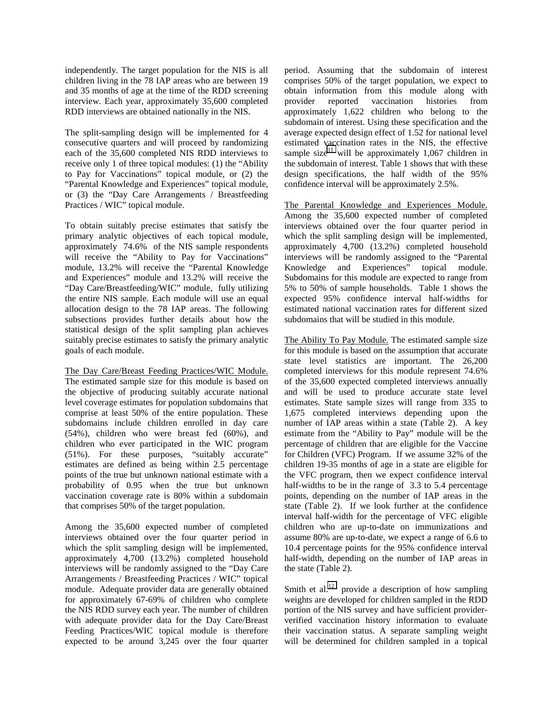independently. The target population for the NIS is all children living in the 78 IAP areas who are between 19 and 35 months of age at the time of the RDD screening interview. Each year, approximately 35,600 completed RDD interviews are obtained nationally in the NIS.

The split-sampling design will be implemented for 4 consecutive quarters and will proceed by randomizing each of the 35,600 completed NIS RDD interviews to receive only 1 of three topical modules: (1) the "Ability to Pay for Vaccinations" topical module, or (2) the "Parental Knowledge and Experiences" topical module, or (3) the "Day Care Arrangements / Breastfeeding Practices / WIC" topical module.

To obtain suitably precise estimates that satisfy the primary analytic objectives of each topical module, approximately 74.6% of the NIS sample respondents will receive the "Ability to Pay for Vaccinations" module, 13.2% will receive the "Parental Knowledge and Experiences" module and 13.2% will receive the "Day Care/Breastfeeding/WIC" module, fully utilizing the entire NIS sample. Each module will use an equal allocation design to the 78 IAP areas. The following subsections provides further details about how the statistical design of the split sampling plan achieves suitably precise estimates to satisfy the primary analytic goals of each module.

The Day Care/Breast Feeding Practices/WIC Module. The estimated sample size for this module is based on the objective of producing suitably accurate national level coverage estimates for population subdomains that comprise at least 50% of the entire population. These subdomains include children enrolled in day care (54%), children who were breast fed (60%), and children who ever participated in the WIC program (51%). For these purposes, "suitably accurate" estimates are defined as being within 2.5 percentage points of the true but unknown national estimate with a probability of 0.95 when the true but unknown vaccination coverage rate is 80% within a subdomain that comprises 50% of the target population.

Among the 35,600 expected number of completed interviews obtained over the four quarter period in which the split sampling design will be implemented, approximately 4,700 (13.2%) completed household interviews will be randomly assigned to the "Day Care Arrangements / Breastfeeding Practices / WIC" topical module. Adequate provider data are generally obtained for approximately 67-69% of children who complete the NIS RDD survey each year. The number of children with adequate provider data for the Day Care/Breast Feeding Practices/WIC topical module is therefore expected to be around 3,245 over the four quarter period. Assuming that the subdomain of interest comprises 50% of the target population, we expect to obtain information from this module along with provider reported vaccination histories from approximately 1,622 children who belong to the subdomain of interest. Using these specification and the average expected design effect of 1.52 for national level estimated vaccination rates in the NIS, the effective sample size<sup>11</sup> will be approximately 1,067 children in the subdomain of interest. Table 1 shows that with these design specifications, the half width of the 95% confidence interval will be approximately 2.5%.

The Parental Knowledge and Experiences Module. Among the 35,600 expected number of completed interviews obtained over the four quarter period in which the split sampling design will be implemented, approximately 4,700 (13.2%) completed household interviews will be randomly assigned to the "Parental Knowledge and Experiences" topical module. Subdomains for this module are expected to range from 5% to 50% of sample households. Table 1 shows the expected 95% confidence interval half-widths for estimated national vaccination rates for different sized subdomains that will be studied in this module.

The Ability To Pay Module. The estimated sample size for this module is based on the assumption that accurate state level statistics are important. The 26,200 completed interviews for this module represent 74.6% of the 35,600 expected completed interviews annually and will be used to produce accurate state level estimates. State sample sizes will range from 335 to 1,675 completed interviews depending upon the number of IAP areas within a state (Table 2). A key estimate from the "Ability to Pay" module will be the percentage of children that are eligible for the Vaccine for Children (VFC) Program. If we assume 32% of the children 19-35 months of age in a state are eligible for the VFC program, then we expect confidence interval half-widths to be in the range of 3.3 to 5.4 percentage points, depending on the number of IAP areas in the state (Table 2). If we look further at the confidence interval half-width for the percentage of VFC eligible children who are up-to-date on immunizations and assume 80% are up-to-date, we expect a range of 6.6 to 10.4 percentage points for the 95% confidence interval half-width, depending on the number of IAP areas in the state (Table 2).

Smith et al. $12$  provide a description of how sampling weights are developed for children sampled in the RDD portion of the NIS survey and have sufficient providerverified vaccination history information to evaluate their vaccination status. A separate sampling weight will be determined for children sampled in a topical